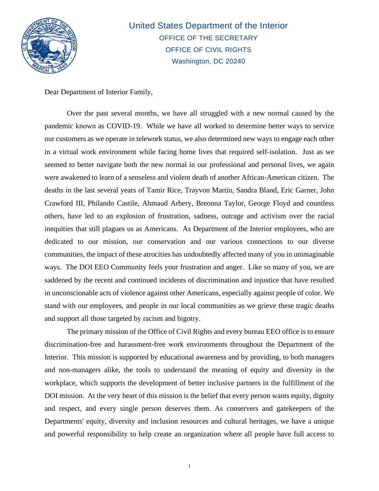

United States Department of the Interior OFFICE OF THE SECRETARY OFFICE OF CIVIL RIGHTS Washington, DC 20240

Dear Department of Interior Family,

Over the past several months, we have all struggled with a new normal caused by the pandemic known as COVID-19. While we have all worked to determine better ways to service our customers as we operate in telework status, we also determined new ways to engage each other in a virtual work environment while facing home lives that required self-isolation. Just as we seemed to better navigate both the new normal in our professional and personal lives, we again were awakened to learn of a senseless and violent death of another African-American citizen. The deaths in the last several years of Tamir Rice, Trayvon Martin, Sandra Bland, Eric Garner, John Crawford III, Philando Castile, Ahmaud Arbery, Breonna Taylor, George Floyd and countless others, have led to an explosion of frustration, sadness, outrage and activism over the racial inequities that still plagues us as Americans. As Department of the Interior employees, who are dedicated to our mission, our conservation and our various connections to our diverse communities, the impact of these atrocities has undoubtedly affected many of you in unimaginable ways. The DOI EEO Community feels your frustration and anger. Like so many of you, we are saddened by the recent and continued incidents of discrimination and injustice that have resulted in unconscionable acts of violence against other Americans, especially against people of color. We stand with our employees, and people in our local communities as we grieve these tragic deaths and support all those targeted by racism and bigotry.

The primary mission of the Office of Civil Rights and every bureau EEO office is to ensure discrimination-free and harassment-free work environments throughout the Department of the Interior. This mission is supported by educational awareness and by providing, to both managers and non-managers alike, the tools to understand the meaning of equity and diversity in the workplace, which supports the development of better inclusive partners in the fulfillment of the DOI mission. At the very heart of this mission is the belief that every person wants equity, dignity and respect, and every single person deserves them. As conservers and gatekeepers of the Departments' equity, diversity and inclusion resources and cultural heritages, we have a unique and powerful responsibility to help create an organization where all people have full access to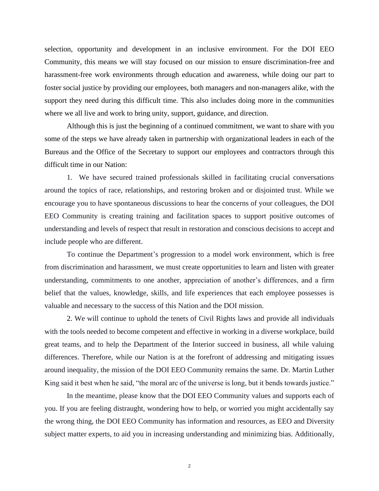selection, opportunity and development in an inclusive environment. For the DOI EEO Community, this means we will stay focused on our mission to ensure discrimination-free and harassment-free work environments through education and awareness, while doing our part to foster social justice by providing our employees, both managers and non-managers alike, with the support they need during this difficult time. This also includes doing more in the communities where we all live and work to bring unity, support, guidance, and direction.

Although this is just the beginning of a continued commitment, we want to share with you some of the steps we have already taken in partnership with organizational leaders in each of the Bureaus and the Office of the Secretary to support our employees and contractors through this difficult time in our Nation:

1. We have secured trained professionals skilled in facilitating crucial conversations around the topics of race, relationships, and restoring broken and or disjointed trust. While we encourage you to have spontaneous discussions to hear the concerns of your colleagues, the DOI EEO Community is creating training and facilitation spaces to support positive outcomes of understanding and levels of respect that result in restoration and conscious decisions to accept and include people who are different.

To continue the Department's progression to a model work environment, which is free from discrimination and harassment, we must create opportunities to learn and listen with greater understanding, commitments to one another, appreciation of another's differences, and a firm belief that the values, knowledge, skills, and life experiences that each employee possesses is valuable and necessary to the success of this Nation and the DOI mission.

2. We will continue to uphold the tenets of Civil Rights laws and provide all individuals with the tools needed to become competent and effective in working in a diverse workplace, build great teams, and to help the Department of the Interior succeed in business, all while valuing differences. Therefore, while our Nation is at the forefront of addressing and mitigating issues around inequality, the mission of the DOI EEO Community remains the same. Dr. Martin Luther King said it best when he said, "the moral arc of the universe is long, but it bends towards justice."

In the meantime, please know that the DOI EEO Community values and supports each of you. If you are feeling distraught, wondering how to help, or worried you might accidentally say the wrong thing, the DOI EEO Community has information and resources, as EEO and Diversity subject matter experts, to aid you in increasing understanding and minimizing bias. Additionally,